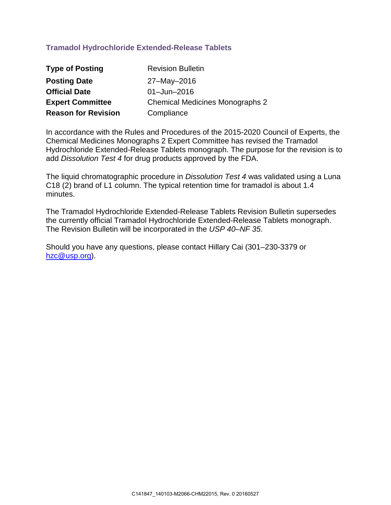## **Tramadol Hydrochloride Extended-Release Tablets**

| <b>Type of Posting</b>     | <b>Revision Bulletin</b>               |
|----------------------------|----------------------------------------|
| <b>Posting Date</b>        | 27-May-2016                            |
| <b>Official Date</b>       | $01 -$ Jun $-2016$                     |
| <b>Expert Committee</b>    | <b>Chemical Medicines Monographs 2</b> |
| <b>Reason for Revision</b> | Compliance                             |

In accordance with the Rules and Procedures of the 2015-2020 Council of Experts, the Chemical Medicines Monographs 2 Expert Committee has revised the Tramadol Hydrochloride Extended-Release Tablets monograph. The purpose for the revision is to add *Dissolution Test 4* for drug products approved by the FDA.

The liquid chromatographic procedure in *Dissolution Test 4* was validated using a Luna C18 (2) brand of L1 column. The typical retention time for tramadol is about 1.4 minutes.

The Tramadol Hydrochloride Extended-Release Tablets Revision Bulletin supersedes the currently official Tramadol Hydrochloride Extended-Release Tablets monograph. The Revision Bulletin will be incorporated in the *USP 40–NF 35*.

Should you have any questions, please contact Hillary Cai (301–230-3379 or [hzc@usp.org\)](mailto:hzc@usp.org).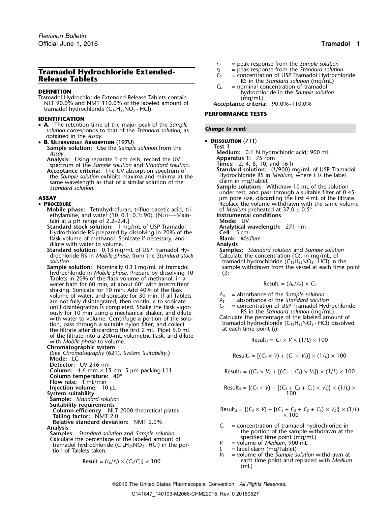# **Tramadol Hydrochloride Extended-**<br> **Release Tablets**<br> **Release Tablets**<br> **Release Tablets**<br> **Release Tablets**<br> **Release Tablets**<br> **Release Tablets**<br> **Release Tablets**<br> **Release Tablets**<br> **C**<sub>*C*</sub> = nominal concentration

**DEFINITION**<br>
Tramadol Hydrochloride Extended-Release Tablets contain (mg/mL)<br>
NLT 90.0% and NMT 110.0% of the labeled amount of **Acceptance criteria:** 90.0%–110.0% tramadol hydrochloride (C16H25NO<sup>2</sup> · HCl). **PERFORMANCE TESTS**

## **IDENTIFICATION**

- **<sup>A</sup>.** The retention time of the major peak of the *Sample Change to read: solution* corresponds to that of the *Standard solution*, as obtained in the *Assay*.
- **<sup>B</sup> <sup>D</sup>ISSOLUTION** 〈**711**〉 **. ULTRAVIOLET ABSORPTION** 〈**197U**〉
	- **Sample solution:** Use the *Sample solution* from the **Test 1**<br>Assay **Medi**

**Analysis:** Using separate 1-cm cells, record the UV spectrum of the *Sample solution* and *Standard solution*. **Times:** 2, 4, 8, 10, and 16 h **Acceptance criteria:** The UV absorption spectrum of **Standard solution:** (L/900) mg/mL of USP Tramadol<br>the Sample solution exhibits maxima and minima at the Hydrochloride RS in Medium, where L is the label the *Sample solution* exhibits maxima and minima at the Hydrochloride RS is<br>same wavelength as that of a similar solution of the claim in mg/Tablet<br>Sample solution.

## •

**Mobile phase:** Tetrahydrofuran, trifluoroacetic acid, tri- of *Medium* preheated at 37.0 ± 0.5°.<br>
ethylamine, and water (10: 0.1: 0.1: 90). [NOTE—Main- **Instrumental conditions** ethylamine, and water (10: 0.1: 0.1: 90). [NOTE—Main-**Instrumenta**<br>tain at a pH range of 2.2–2.4.] **IMODE:** UV

tain at a pH range of 2.2–2.4.]<br> **Itandard stock solution:** 1 mg/mL of USP Tramadol **Mode:** UV **Analytical wavelength:** 271 nm **Standard stock solution:** 1 mg/mL of USP Tramadol **Analytical wavelength:** 20% of the **Analytical wavelength:** 271 nm and the **Analytical wavelength:** 271 nm and the Cell: 271 nm and the Cell: 271 nm and the Cell: 271 nm Hydrochloride RS prepared by dissolving in 20% of the **Cell:** 5 cm<br>
flask volume of methanol. Sonicate if necessary, and **Blank:** Medium flask volume of methanol. Sonicate if necessary, and **Blank:** *Medium* dilute with water to volume.

**Standard solution:** 0.13 mg/mL of USP Tramadol Hy- **Samples:** *Standard solution* and *Sample solution* drochloride RS in *Mobile phase*, from the Standard stock

**Sample solution:** Nominally 0.13 mg/mL of tramadol hydrochloride in *Mobile phase*. Prepare by dissolving 10 (*i*): Tablets in 20% of the flask volume of methanol, in a water bath for 60 min, at about 60° with intermittent shaking. Sonicate for 10 min. Add 40% of the flask volume of water, and sonicate for 30 min. If all Tablets  $A_U$  = absorbance of the *Sample solution*<br>are not fully disintegrated, then continue to sonicate  $A_S$  = absorbance of the *Standard solution* are not fully disintegrated, then continue to sonicate *A<sub>S</sub>* =  $\frac{A_S}{C_S}$ ously for 10 min using a mechanical shaker, and dilute RS in the *Standard solution* (mg/mL) with water to volume. Centrifuge a portion of the solu-<br>Calculate the percentage of the labeled amount of tion, pass through a suitable nylon filter, and collect tramadol hydrochloride  $(C_{16}H_{25}NO_2 \cdot HCl)$  dissolved<br>the filtrate after discarding the first 2 mL. Pipet 5.0 mL at each time point (i): the filtrate after discarding the first 2 mL. Pipet 5.0 mL of the filtrate into a 200-mL volumetric flask, and dilute with *Mobile phase* to volume.

**Chromatographic system**<br>(See Chromatography  $(621)$ , System Suitability.) (See *Chromatography*  $\langle 621 \rangle$ *, system Suitability.)* Result<sub>2</sub> =  $[(C_2 \times V) + (C_1 \times V_5)] \times (1/L) \times 100$ **Detector:** UV 216 nm **Column:** 4.6-mm × 15-cm; 5-µm packing L11 Result<sup>3</sup> = {(*C<sup>3</sup>* <sup>×</sup> *<sup>V</sup>*) + [(*C2*<sup>+</sup>*C1*) <sup>×</sup> *<sup>V</sup>S*]} × (1/*L*) ×<sup>100</sup> **Column temperature:** 40° **Flow rate:** 1 mL/min **Injection volume:**  $10 \mu L$ **System suitability Sample:** *Standard solution* **Suitability requirements Tailing factor:**  $\sqrt{\text{MT 2.0}}$   $\times 100$ **Relative standard deviation:** NMT 2.0%

**Samples:** *Standard solution* and *Sample solution*<br>Calculate the percentage of the labeled amount of specified time point (mg/mL)<br>tramadol hydrochloride (C<sub>16</sub>H<sub>25</sub>NO<sub>2</sub> · HCl) in the por-<br> $V =$  volume of *Medium*, 900 m Calculate the percentage of the labeled amount of  $V$  specified the point ( $\sim$  H, NO, H, HC) in the por *V* = volume of *Medium, 900 mL*<br>tion of Tablets taken: *L* = label claim (mg/Tablet)<br>*V<sub>S</sub>* = volume of the *Sample solution* withdrawn at

$$
Result = (r_U/r_S) \times (C_S/C_U) \times 100
$$

- $r_U$  = peak response from the *Sample solution*<br> $r_S$  = peak response from the *Standard solution*
- 
- 
- $=$  nominal concentration of tramadol

- **Medium:** 0.1 N hydrochloric acid; 900 mL<br>**Apparatus 1:** 75 rpm<br>**Times:** 2, 4, 8, 10, and 16 h
	-
- 
- **Sample solution:** Withdraw 10 mL of the solution under test, and pass through a suitable filter of 0.45- **ASSAY** µm pore size, discarding the first 4 mL of the filtrate. • PROCEDURE **REPLACE REPLACE ASSISTENT** Replace the volume withdrawn with the same volume
	-
	-
	-
	-
	-
	- *solution*<br> **Solution** in the solution: Nominally 0.13 mg/mL of tramadol sample withdrawn from the vessel at each time point

$$
Result_i = (A_U/A_S) \times C_S
$$

- 
- = concentration of USP Tramadol Hydrochloride<br>RS in the *Standard solution* (mg/mL)

$$
Result_1 = C_1 \times V \times (1/L) \times 100
$$

Result<sub>4</sub> = {
$$
(C_4 \times V)
$$
 + [ $(C_3 + C_2 + C_1) \times V_3$ ]  $\times$  (1/*L*)  $\times$   
100

Equation of Equation 11.1: 
$$
1/2
$$

\n**Column efficiency:**  $1/2$  2000 theoretical plates

\nResult<sub>5</sub> =  ${(C_5 \times V) + [(C_4 + C_3 + C_2 + C_1) \times V_5]} \times (1/l)$ 

\n7.100 × 100

- Analysis<br>Analysis *C<sub>i</sub>* = concentration of tramadol hydrochloride in<br>Samples: Standard solution and Sample solution **the portion of the sample withdrawn** at the
	-
	-
	- Result = (*<sup>r</sup>U*/*<sup>r</sup>S*) × (*CS*/*CU*) ×<sup>100</sup> each time point and replaced with *Medium* (mL)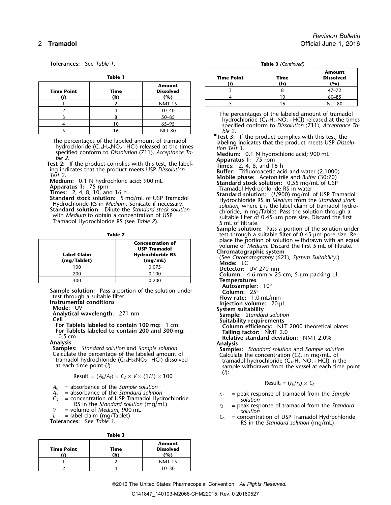**Tolerances:** See *Table 1*.

|                   |                    | Time Ro                 |                 |
|-------------------|--------------------|-------------------------|-----------------|
|                   |                    | <b>Amount</b>           |                 |
| <b>Time Point</b> | <b>Time</b><br>(h) | <b>Dissolved</b><br>(%) |                 |
|                   |                    | <b>NMT 15</b>           |                 |
|                   |                    | $10 - 40$               |                 |
|                   |                    | $50 - 85$               | The pe          |
|                   |                    | $65 - 95$               | hydro<br>specii |
|                   |                    | <b>NLT 80</b>           |                 |

The percentages of the labeled amount of tramadol<br>hydrochloride (C<sub>16</sub>H<sub>25</sub>NO<sub>2</sub> · HCl) released at the times<br>specified conform to Dissolution (711), Acceptance Ta-<br>**Medium:** 0.1 N hydrochloric acid: 900 ml

| Label Claim<br>(mg/Tablet) | <b>Concentration of</b><br><b>USP Tramadol</b><br><b>Hydrochloride RS</b><br>(mq/mL) | place the portion of solution withdrawn with<br>volume of Medium. Discard the first 5 mL of f<br>Chromatographic system<br>(See Chromatography $(621)$ , System Suitability.<br>Mode: LC |
|----------------------------|--------------------------------------------------------------------------------------|------------------------------------------------------------------------------------------------------------------------------------------------------------------------------------------|
| 100                        | 0.075                                                                                | <b>Detector:</b> UV 270 nm                                                                                                                                                               |
| 200                        | 0.100                                                                                | <b>Column:</b> 4.6-mm $\times$ 25-cm; 5-µm packing L1                                                                                                                                    |
| 300                        | 0.200                                                                                | <b>Temperatures</b>                                                                                                                                                                      |

**Sample solution:** Pass a portion of the solution under test through a suitable filter. test through a suitable filter.<br> **Instrumental conditions**<br> **Injection volume:** 20 μL<br> **Mode:** UV<br> **Injection volume:** 20 μL<br> **System suitability** 

**Moderation Sample:** *Standard solution*<br> **Cell The Suitability requirements**<br> **Suitability requirements** 

For Tablets labeled to contain 100 mg: 1 cm<br>
For Tablets labeled to contain 200 and 300 mg:<br>
0.5 cm<br>
2.0 Tailing factor: NMT 2.0<br>
Relative standard deviation: NMT 2.0<br>
Relative standard deviation: NMT 2.0

$$
\text{Result}_i = (A_0/A_s) \times C_s \times V \times (1/L) \times 100 \tag{1}
$$

- $A_U$  = absorbance of the *Sample solution*<br>  $A_S$  = absorbance of the *Standard solution*<br>  $A_S$  = absorbance of the *Standard solution*<br>  $A_U$  = peak response of tramadol from
- 
- 
- *V* = volume of *Medium*, 900 mL *solution*<br>  $L =$  label claim (mg/Tablet)  $C_5 =$  concentration
- 

**Table 3**

| <b>Time Point</b> | Time<br>'n | <b>Amount</b><br><b>Dissolved</b><br>(%) |
|-------------------|------------|------------------------------------------|
|                   |            | NIMT <sup>3</sup><br>15                  |
|                   |            |                                          |

*Revision Bulletin* 2 **Tramadol** Official June 1, 2016

| <b>Table 3</b> (Continued) |
|----------------------------|
|----------------------------|

|            | <b>Table 1</b> |                  | <b>Time Point</b> | Time | <b>Amount</b><br><b>Dissolved</b> |  |
|------------|----------------|------------------|-------------------|------|-----------------------------------|--|
|            |                | <b>Amount</b>    |                   | (h)  | (%)                               |  |
| Time Point | Time           | <b>Dissolved</b> |                   |      | $47 - 72$                         |  |
|            | (h)            | (%)              |                   | 10   | $60 - 85$                         |  |
|            |                | <b>NMT 15</b>    |                   | 16   | <b>NLT 80</b>                     |  |

The percentages of the labeled amount of tramadol<br>hydrochloride (C<sub>16</sub>H<sub>25</sub>NO<sub>2</sub> · HCl) released at the times<br>specified conform to *Dissolution*  $\langle 711 \rangle$ *, Acceptance Ta-*

**• Test 3:** If the product complies with this test, the

- 
- 
- 
- specified conform to Dissolution (711), Acceptance Ta-<br>
Test 2: If the product complies with this test, the label-<br>
Test 2: If the product complies with this test, the label-<br>
ing indicates that the product meets USP Disso

**Sample solution:** Pass a portion of the solution under **Table 2** test through a suitable filter of 0.45-µm pore size. Replace the portion of solution withdrawn with an equal<br>volume of *Medium*. Discard the first 5 mL of filtrate.<br>**Chromatographic system**<br>(See Chromatography  $(621)$ , System Suitability.)<br>**Mode:** LC

- 
- 

- Temperatures<br>Autosampler: 10°<br>Column: 25°
- 
- 
- 
- 
- 
- -

0.5 cm **Relative standard deviation:** NMT 2.0%

**Analysis**<br> **Samples:** Standard solution and Sample solution<br>
Calculate the percentage of the labeled amount of<br>
tramadol hydrochloride (C<sub>16</sub>H<sub>25</sub>NO<sub>2</sub> · HCl) dissolved<br>
at each time point (i):<br>
at each time point (i):<br>

- $A_S$  = absorbance of the *Standard solution*<br> $C_S$  = concentration of USP Tramadol Hydrochloride *ru* = peak response of tramadol from the *Sample* 
	- RS in the *Standard solution* (mg/mL) *<sup>r</sup><sup>S</sup>* = peak response of tramadol from the *Standard*
- *L* = label claim (mg/Tablet) *C<sub>S</sub>* = concentration of USP Tramadol Hydrochloride **Tolerances:** See *Table 3*. RS in the *Standard solution* (mg/mL)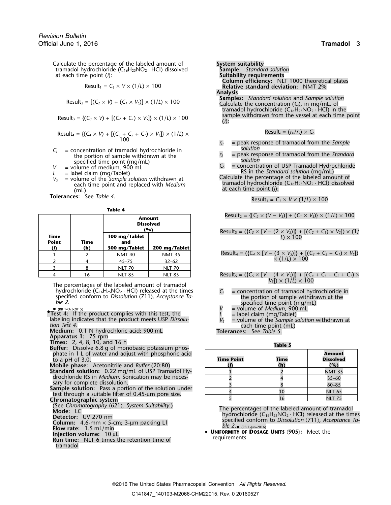Calculate the percentage of the labeled amount of **System suitability**<br>
tramadol hydrochloride (C<sub>16</sub>H<sub>25</sub>NO<sub>2</sub> · HCl) dissolved **Sample:** Standard solution tramadol hydrochloride (C<sub>16</sub>H<sub>25</sub>NO<sub>2</sub> · HCl) dissolved at each time point (*i*):

$$
Result_1 = C_1 \times V \times (1/L) \times 100
$$

$$
Result_2 = [(C_2 \times V) + (C_1 \times V_5)] \times (1/L) \times 100
$$

$$
Result_4 = \{(C_4 \times V) + [(C_3 + C_2 + C_1) \times V_5] \} \times (1/L) \times
$$
   
Result<sub>4</sub> =  $(r_0/r_5) \times C_5$ 

- 
- 
- 
- $C_i$  = concentration of tramadol hydrochloride in<br>
the portion of sample withdrawn at the<br>
specified time point (mg/mL)<br>  $V =$  volume of medium, 900 mL<br>  $L =$  label claim (mg/Tablet)<br>  $V_s$  = volume of the Sample solution wi

**Tolerances:** See *Table 4*.

| Table |  |
|-------|--|
|-------|--|

|                             |             | <b>Amount</b><br><b>Dissolved</b><br>(%) |               | Result <sub>2</sub> = {  C <sub>2</sub> $\times$ ( V – V <sub>S</sub> )  + (C <sub>1</sub> $\times$ |
|-----------------------------|-------------|------------------------------------------|---------------|-----------------------------------------------------------------------------------------------------|
| Time<br><b>Point</b><br>(i) | Time<br>(h) | 100 mg/Tablet<br>and<br>300 mg/Tablet    | 200 mg/Tablet | Result <sub>3</sub> = $({C_3} \times [V - (2 \times V_s)]) + [(2 \times 100)(1) \times 100]$        |
|                             |             | <b>NMT 40</b>                            | <b>NMT 35</b> | Result <sub>4</sub> = $({C_4} \times [V - (3 \times V_5)]) + [0 \times (1/L) \times 100]$           |
|                             |             | $45 - 75$                                | $32 - 62$     |                                                                                                     |
|                             |             | <b>NLT 70</b>                            | <b>NLT 70</b> |                                                                                                     |
|                             | 16          | <b>NLT 85</b>                            | <b>NLT 85</b> | Results = $({C_s} \times {V - (4 \times V_s)}$ + I                                                  |

The percentages of the labeled amount of tramadol hydrochloride ( $C_{16}H_{25}NO_2 \cdot HCl$ ) released at the times  $C_i$  = concentration of tramadol hydrochloride in specified conform to *Dissolution* (711), *Acceptance Ta*specified conform to *Dissolution*  $\langle 711 \rangle$ *, Acceptance Ta-*<br> *ble 2*. specified time point (mg/mL)<br> **exa** the portion of sample withdrawn at the *ble 2*.<br> **exa the point (mg/mL)**<br> **exa the point (mg/mL)** 

- Test 4: If the product complies with this test, the  $L =$  label claim (mg/Tablet)<br>labeling indicates that the product meets USP *Dissolu*-<br>*V<sub>S</sub>* = volume of the *Sample solution withdrawn at*<br>each time point (mL)
- **Medium:** 0.1 N hydrochloric acid; 900 mL **Tolerances:** See *Table 5*.
- **Apparatus 1:** 75 rpm
- 
- **Times:** 2, 4, 8, 10, and 16 h **Table 5 Buffer:** Dissolve 6.8 g of monobasic potassium phosphate in 1 L of water and adjust with phosphoric acid to a pH of 3.0. **Time Point Time Dissolved**
- **Mobile phase:** Acetonitrile and *Buffer* (20:80) **(***i***) (h) (%)**
- Standard solution: 0.22 mg/mL of USP Tramadol Hydrochloride RS in *Medium*. Sonication may be neces-<br>sary for complete dissolution.
- Sample solution: Pass a portion of the solution under test through a suitable filter of 0.45-µm pore size.
- **Chromatographic system**
- (See *Chromatography* 〈621〉*, System Suitability*.)
- 
- 
- 
- **Flow rate:** 1.5 mL/min<br>**Injection volume:** 10 µL
- tramadol
- **Suitability requirements**  $C$ olumn efficiency: NLT 1000 theoretical plates<br>Relative standard deviation: NMT 2%
- Analysis<br>Samples: Standard solution and Sample solution Result<sub>2</sub> = [(C<sub>2</sub> × V) + (C<sub>1</sub> × V<sub>S</sub>)] × (1/L) × 100<br>Calculate the concentration (C<sub>i</sub>), in mg/mL, of tramadol hydrochloride (C $_{16}$ H $_{25}$ NO $_{2}$   $\cdot$  HCl) in the Result<sub>3</sub> = {( $C_3 \times V$ ) + [( $C_2 + C_1$ )  $\times V_5$ ]}  $\times$  (1/*L*)  $\times$  100 sample withdrawn from the vessel at each time point

$$
Result_i = (r_U/r_S) \times C_S
$$

- *<sup>r</sup><sup>U</sup>* = peak response of tramadol from the *Sample*
- 
- 

$$
Result_1 = C_1 \times V \times (1/L) \times 100
$$

$$
Result_2 = \{ [C_2 \times (V - V_5)] + (C_1 \times V_5) \} \times (1/L) \times 100
$$

## ${\sf Result}_3 = ({C_3 \times [V - (2 \times V_3)]) + [(C_2 + C_1) \times V_3]) \times (1/2 \times 100)}$

$$
\frac{1}{2} \qquad \frac{2}{4} \qquad \frac{1}{45-75} \qquad \frac{32-62}{32-62} \qquad \text{Result}_4 = (\{C_4 \times [V - (3 \times V_5)]\} + [(C_3 + C_2 + C_1) \times V_5])
$$

 $\mathsf{Ressult}_5 = (\{C_5 \times [V - (4 \times V_5)]\} + [(C_4 + C_3 + C_2 + C_1) \times (C_4 + C_2 + C_3)]$ *VS*]) × (1/*L*) × 100

- 
- (RB 1-Oct-2015)  $V =$  volume of *Medium*, 900 mL
	-
	-
	-

| <b>Time Point</b> | <b>Time</b><br>(h) | <b>Amount</b><br><b>Dissolved</b><br>(%) |
|-------------------|--------------------|------------------------------------------|
|                   |                    | <b>NMT 35</b>                            |
|                   |                    | $35 - 60$                                |
|                   |                    | $60 - 85$                                |
|                   | 10                 | <b>NLT 65</b>                            |
|                   | 6                  | <b>NLT 75</b>                            |

Mode: LC<br>
Mode: LC<br>
Detector: UV 270 nm<br>
Detector: UV 270 nm specified conform to *Dissolution* 〈711〉*, Acceptance Ta-* **Column:** 4.6-mm × 5-cm; 3-µm packing L1 *ble 2*. ble  $2.$  (RB 1-Jun-2016)

**UNIFORMITY OF DOSAGE UNITS**  $\langle 905 \rangle$ : Meet the **Injection volume:** 10 µL **infection time** of **Run time:** NLT 6 times the retention time of **Run time:** NLT 6 times the retention time of